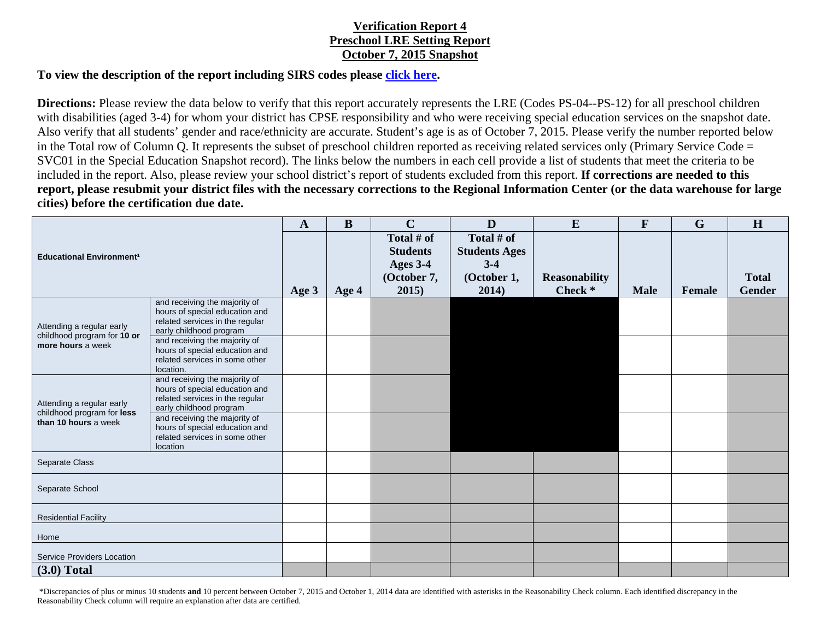## **Verification Report 4 Preschool LRE Setting Report October 7, 2015 Snapshot**

## **To view the description of the report including SIRS codes please click here.**

**Directions:** Please review the data below to verify that this report accurately represents the LRE (Codes PS-04--PS-12) for all preschool children with disabilities (aged 3-4) for whom your district has CPSE responsibility and who were receiving special education services on the snapshot date. Also verify that all students' gender and race/ethnicity are accurate. Student's age is as of October 7, 2015. Please verify the number reported below in the Total row of Column Q. It represents the subset of preschool children reported as receiving related services only (Primary Service Code = SVC01 in the Special Education Snapshot record). The links below the numbers in each cell provide a list of students that meet the criteria to be included in the report. Also, please review your school district's report of students excluded from this report. **If corrections are needed to this report, please resubmit your district files with the necessary corrections to the Regional Information Center (or the data warehouse for large cities) before the certification due date.** 

| <b>Educational Environment<sup>1</sup></b>                                      |                                                                                                                               | $\mathbf{A}$ | B     | $\mathbf C$                                                       | $\mathbf{D}$                                                        | E                               | $\mathbf{F}$ | $\mathbf G$   | H                             |
|---------------------------------------------------------------------------------|-------------------------------------------------------------------------------------------------------------------------------|--------------|-------|-------------------------------------------------------------------|---------------------------------------------------------------------|---------------------------------|--------------|---------------|-------------------------------|
|                                                                                 |                                                                                                                               | Age 3        | Age 4 | Total # of<br><b>Students</b><br>Ages 3-4<br>(October 7,<br>2015) | Total # of<br><b>Students Ages</b><br>$3-4$<br>(October 1,<br>2014) | <b>Reasonability</b><br>Check * | <b>Male</b>  | <b>Female</b> | <b>Total</b><br><b>Gender</b> |
| Attending a regular early<br>childhood program for 10 or<br>more hours a week   | and receiving the majority of<br>hours of special education and<br>related services in the regular<br>early childhood program |              |       |                                                                   |                                                                     |                                 |              |               |                               |
|                                                                                 | and receiving the majority of<br>hours of special education and<br>related services in some other<br>location.                |              |       |                                                                   |                                                                     |                                 |              |               |                               |
| Attending a regular early<br>childhood program for less<br>than 10 hours a week | and receiving the majority of<br>hours of special education and<br>related services in the regular<br>early childhood program |              |       |                                                                   |                                                                     |                                 |              |               |                               |
|                                                                                 | and receiving the majority of<br>hours of special education and<br>related services in some other<br>location                 |              |       |                                                                   |                                                                     |                                 |              |               |                               |
| Separate Class                                                                  |                                                                                                                               |              |       |                                                                   |                                                                     |                                 |              |               |                               |
| Separate School                                                                 |                                                                                                                               |              |       |                                                                   |                                                                     |                                 |              |               |                               |
| <b>Residential Facility</b>                                                     |                                                                                                                               |              |       |                                                                   |                                                                     |                                 |              |               |                               |
| Home                                                                            |                                                                                                                               |              |       |                                                                   |                                                                     |                                 |              |               |                               |
| <b>Service Providers Location</b>                                               |                                                                                                                               |              |       |                                                                   |                                                                     |                                 |              |               |                               |
| $(3.0)$ Total                                                                   |                                                                                                                               |              |       |                                                                   |                                                                     |                                 |              |               |                               |

 \*Discrepancies of plus or minus 10 students **and** 10 percent between October 7, 2015 and October 1, 2014 data are identified with asterisks in the Reasonability Check column. Each identified discrepancy in the Reasonability Check column will require an explanation after data are certified.